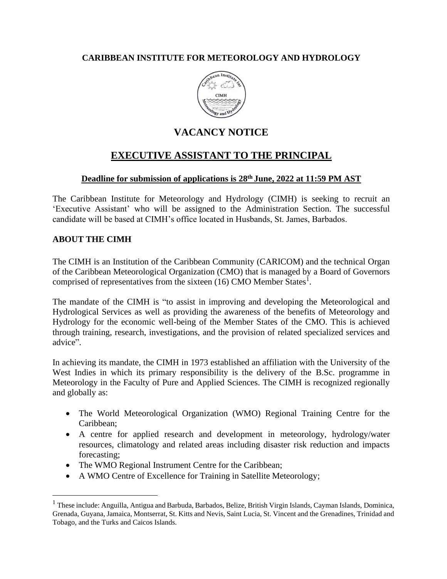### **CARIBBEAN INSTITUTE FOR METEOROLOGY AND HYDROLOGY**



# **VACANCY NOTICE**

## **EXECUTIVE ASSISTANT TO THE PRINCIPAL**

#### **Deadline for submission of applications is 28 th June, 2022 at 11:59 PM AST**

The Caribbean Institute for Meteorology and Hydrology (CIMH) is seeking to recruit an 'Executive Assistant' who will be assigned to the Administration Section. The successful candidate will be based at CIMH's office located in Husbands, St. James, Barbados.

#### **ABOUT THE CIMH**

The CIMH is an Institution of the Caribbean Community (CARICOM) and the technical Organ of the Caribbean Meteorological Organization (CMO) that is managed by a Board of Governors comprised of representatives from the sixteen  $(16)$  CMO Member States<sup>1</sup>.

The mandate of the CIMH is "to assist in improving and developing the Meteorological and Hydrological Services as well as providing the awareness of the benefits of Meteorology and Hydrology for the economic well-being of the Member States of the CMO. This is achieved through training, research, investigations, and the provision of related specialized services and advice".

In achieving its mandate, the CIMH in 1973 established an affiliation with the University of the West Indies in which its primary responsibility is the delivery of the B.Sc. programme in Meteorology in the Faculty of Pure and Applied Sciences. The CIMH is recognized regionally and globally as:

- The World Meteorological Organization (WMO) Regional Training Centre for the Caribbean;
- A centre for applied research and development in meteorology, hydrology/water resources, climatology and related areas including disaster risk reduction and impacts forecasting;
- The WMO Regional Instrument Centre for the Caribbean;
- A WMO Centre of Excellence for Training in Satellite Meteorology;

<sup>&</sup>lt;sup>1</sup> These include: Anguilla, Antigua and Barbuda, Barbados, Belize, British Virgin Islands, Cayman Islands, Dominica, Grenada, Guyana, Jamaica, Montserrat, St. Kitts and Nevis, Saint Lucia, St. Vincent and the Grenadines, Trinidad and Tobago, and the Turks and Caicos Islands.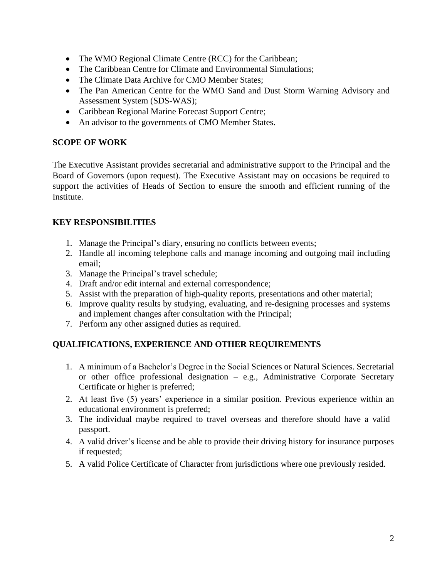- The WMO Regional Climate Centre (RCC) for the Caribbean;
- The Caribbean Centre for Climate and Environmental Simulations;
- The Climate Data Archive for CMO Member States:
- The Pan American Centre for the WMO Sand and Dust Storm Warning Advisory and Assessment System (SDS-WAS);
- Caribbean Regional Marine Forecast Support Centre;
- An advisor to the governments of CMO Member States.

## **SCOPE OF WORK**

The Executive Assistant provides secretarial and administrative support to the Principal and the Board of Governors (upon request). The Executive Assistant may on occasions be required to support the activities of Heads of Section to ensure the smooth and efficient running of the Institute.

### **KEY RESPONSIBILITIES**

- 1. Manage the Principal's diary, ensuring no conflicts between events;
- 2. Handle all incoming telephone calls and manage incoming and outgoing mail including email;
- 3. Manage the Principal's travel schedule;
- 4. Draft and/or edit internal and external correspondence;
- 5. Assist with the preparation of high-quality reports, presentations and other material;
- 6. Improve quality results by studying, evaluating, and re-designing processes and systems and implement changes after consultation with the Principal;
- 7. Perform any other assigned duties as required.

## **QUALIFICATIONS, EXPERIENCE AND OTHER REQUIREMENTS**

- 1. A minimum of a Bachelor's Degree in the Social Sciences or Natural Sciences. Secretarial or other office professional designation – e.g., Administrative Corporate Secretary Certificate or higher is preferred;
- 2. At least five (5) years' experience in a similar position. Previous experience within an educational environment is preferred;
- 3. The individual maybe required to travel overseas and therefore should have a valid passport.
- 4. A valid driver's license and be able to provide their driving history for insurance purposes if requested;
- 5. A valid Police Certificate of Character from jurisdictions where one previously resided.